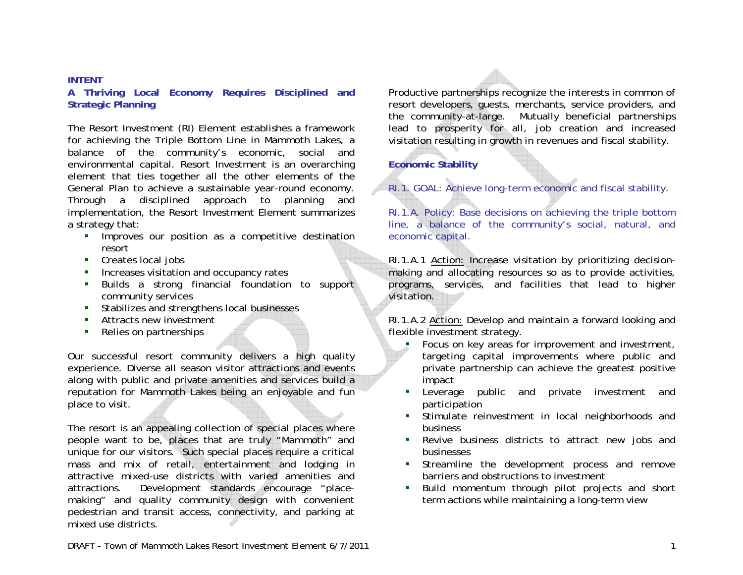## **INTENT**

**A Thriving Local Economy Requires Disciplined and Strategic Planning**

The Resort Investment (RI) Element establishes a framework for achieving the Triple Bottom Line in Mammoth Lakes, a balance of the community's economic, social and environmental capital. Resort Investment is an overarching element that ties together all the other elements of the General Plan to achieve a sustainable year-round economy. Through a disciplined approach to planning and implementation, the Resort Investment Element summarizes a strategy that:

- **IMPROVES OUT position as a competitive destination** resort
- Creates local jobs
- $\mathbf{r}$ Increases visitation and occupancy rates
- **Builds a strong financial foundation to support** community services
- **Stabilizes and strengthens local businesses**
- Attracts new investment
- Relies on partnerships

Our successful resort community delivers a high quality experience. Diverse all season visitor attractions and events along with public and private amenities and services build a reputation for Mammoth Lakes being an enjoyable and fun place to visit.

The resort is an appealing collection of special places where people want to be, places that are truly "Mammoth" and unique for our visitors. Such special places require a critical mass and mix of retail, entertainment and lodging in attractive mixed-use districts with varied amenities and attractions. Development standards encourage "placemaking" and quality community design with convenient pedestrian and transit access, connectivity, and parking at mixed use districts.

Productive partnerships recognize the interests in common of resort developers, guests, merchants, service providers, and the community-at-large. Mutually beneficial partnerships lead to prosperity for all, job creation and increased visitation resulting in growth in revenues and fiscal stability.

## **Economic Stability**

RI.1. GOAL: Achieve long-term economic and fiscal stability.

RI.1.A. Policy: Base decisions on achieving the triple bottom line, a balance of the community's social, natural, and economic capital.

RI.1.A.1 Action: Increase visitation by prioritizing decisionmaking and allocating resources so as to provide activities, programs, services, and facilities that lead to higher visitation.

RI.1.A.2 Action: Develop and maintain a forward looking and flexible investment strategy.

- L. Focus on key areas for improvement and investment, targeting capital improvements where public and private partnership can achieve the greatest positive impact
- Leverage public and private investment and participation
- Stimulate reinvestment in local neighborhoods and business
- Revive business districts to attract new jobs and businesses
- **Streamline the development process and remove** barriers and obstructions to investment
- $\mathbf{E}^{(1)}$  Build momentum through pilot projects and short term actions while maintaining a long-term view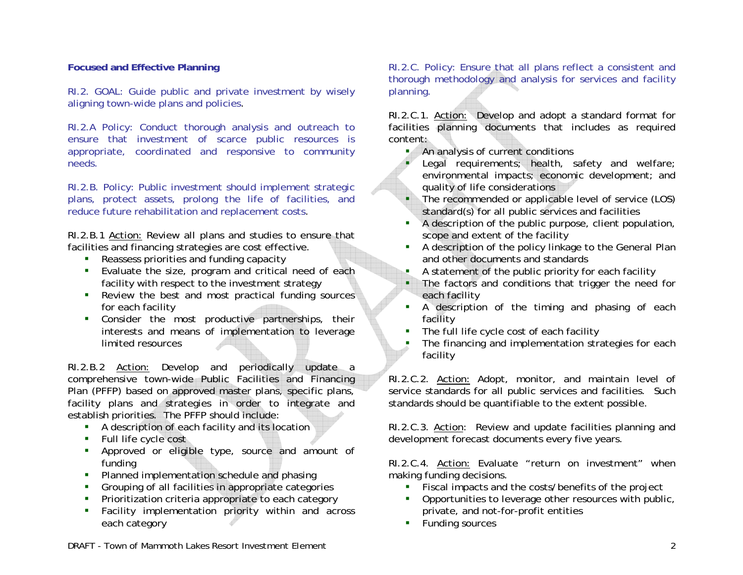## **Focused and Effective Planning**

RI.2. GOAL: Guide public and private investment by wisely aligning town-wide plans and policies.

RI.2.A Policy: Conduct thorough analysis and outreach to ensure that investment of scarce public resources is appropriate, coordinated and responsive to community needs.

RI.2.B. Policy: Public investment should implement strategic plans, protect assets, prolong the life of facilities, and reduce future rehabilitation and replacement costs.

RI.2.B.1 Action: Review all plans and studies to ensure that facilities and financing strategies are cost effective.

- Reassess priorities and funding capacity
- Evaluate the size, program and critical need of each facility with respect to the investment strategy
- **•** Review the best and most practical funding sources for each facility
- Consider the most productive partnerships, their interests and means of implementation to leverage limited resources

RI.2.B.2 Action: Develop and periodically update a comprehensive town-wide Public Facilities and Financing Plan (PFFP) based on approved master plans, specific plans, facility plans and strategies in order to integrate and establish priorities. The PFFP should include:

- A description of each facility and its location
- Full life cycle cost
- Approved or eligible type, source and amount of funding
- **•** Planned implementation schedule and phasing
- Grouping of all facilities in appropriate categories
- $\mathcal{L}_{\mathcal{A}}$ Prioritization criteria appropriate to each category
- Facility implementation priority within and across each category

RI.2.C. Policy: Ensure that all plans reflect a consistent and thorough methodology and analysis for services and facility planning.

RI.2.C.1. Action: Develop and adopt a standard format for facilities planning documents that includes as required content:

An analysis of current conditions

г

- Legal requirements; health, safety and welfare; environmental impacts; economic development; and quality of life considerations
- The recommended or applicable level of service (LOS) standard(s) for all public services and facilities
- A description of the public purpose, client population, scope and extent of the facility
- A description of the policy linkage to the General Plan and other documents and standards
- A statement of the public priority for each facility
- **The factors and conditions that trigger the need for** each facility
- A description of the timing and phasing of each facility
- $\blacksquare$ The full life cycle cost of each facility
- The financing and implementation strategies for each facility

RI.2.C.2. Action: Adopt, monitor, and maintain level of service standards for all public services and facilities. Such standards should be quantifiable to the extent possible.

RI.2.C.3. Action: Review and update facilities planning and development forecast documents every five years.

RI.2.C.4. Action: Evaluate "return on investment" when making funding decisions.

- Fiscal impacts and the costs/benefits of the project
- Opportunities to leverage other resources with public, private, and not-for-profit entities
- **Funding sources**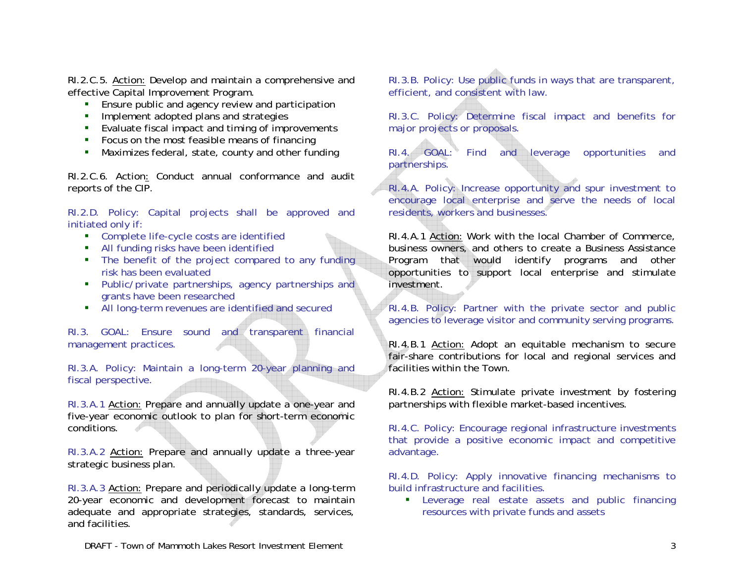RI.2.C.5. Action: Develop and maintain a comprehensive and effective Capital Improvement Program.

- **Ensure public and agency review and participation**
- **Implement adopted plans and strategies**
- **E** Evaluate fiscal impact and timing of improvements
- Focus on the most feasible means of financing
- Maximizes federal, state, county and other funding

RI.2.C.6. Action: Conduct annual conformance and audit reports of the CIP.

RI.2.D. Policy: Capital projects shall be approved and initiated only if:

- Complete life-cycle costs are identified
- All funding risks have been identified
- **The benefit of the project compared to any funding** risk has been evaluated
- Public/private partnerships, agency partnerships and grants have been researched
- **All long-term revenues are identified and secured**

RI.3. GOAL: Ensure sound and transparent financial management practices.

RI.3.A. Policy: Maintain a long-term 20-year planning and fiscal perspective.

RI.3.A.1 Action: Prepare and annually update a one-year and five-year economic outlook to plan for short-term economic conditions.

RI.3.A.2 Action: Prepare and annually update a three-year strategic business plan.

RI.3.A.3 Action: Prepare and periodically update a long-term 20-year economic and development forecast to maintain adequate and appropriate strategies, standards, services, and facilities.

RI.3.B. Policy: Use public funds in ways that are transparent, efficient, and consistent with law.

RI.3.C. Policy: Determine fiscal impact and benefits for major projects or proposals.

RI.4. GOAL: Find and leverage opportunities and partnerships.

RI.4.A. Policy: Increase opportunity and spur investment to encourage local enterprise and serve the needs of local residents, workers and businesses.

RI.4.A.1 Action: Work with the local Chamber of Commerce, business owners, and others to create a Business Assistance Program that would identify programs and other opportunities to support local enterprise and stimulate investment.

RI.4.B. Policy: Partner with the private sector and public agencies to leverage visitor and community serving programs.

RI.4.B.1 Action: Adopt an equitable mechanism to secure fair-share contributions for local and regional services and facilities within the Town.

RI.4.B.2 Action: Stimulate private investment by fostering partnerships with flexible market-based incentives.

RI.4.C. Policy: Encourage regional infrastructure investments that provide a positive economic impact and competitive advantage.

RI.4.D. Policy: Apply innovative financing mechanisms to build infrastructure and facilities.

 Leverage real estate assets and public financing resources with private funds and assets

*DRAFT - Town of Mammoth Lakes Resort Investment Element* 3